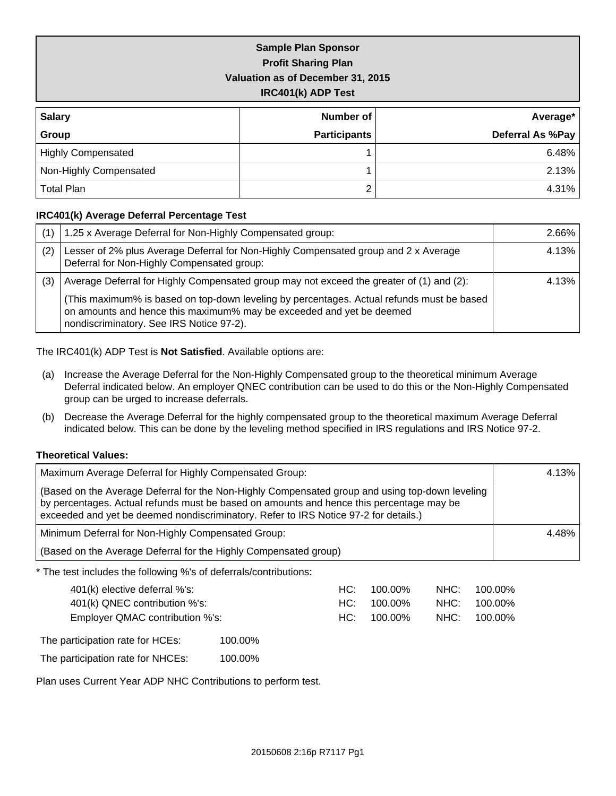| <b>Sample Plan Sponsor</b>        |
|-----------------------------------|
| <b>Profit Sharing Plan</b>        |
| Valuation as of December 31, 2015 |
| IRC401(k) ADP Test                |

| <b>Salary</b>             | Number of           | Average*         |
|---------------------------|---------------------|------------------|
| Group                     | <b>Participants</b> | Deferral As %Pay |
| <b>Highly Compensated</b> |                     | 6.48%            |
| Non-Highly Compensated    |                     | 2.13%            |
| <b>Total Plan</b>         |                     | 4.31%            |

#### **IRC401(k) Average Deferral Percentage Test**

|     | 1.25 x Average Deferral for Non-Highly Compensated group:                                                                                                                                                     | 2.66% |
|-----|---------------------------------------------------------------------------------------------------------------------------------------------------------------------------------------------------------------|-------|
| (2) | Lesser of 2% plus Average Deferral for Non-Highly Compensated group and 2 x Average<br>Deferral for Non-Highly Compensated group:                                                                             | 4.13% |
| (3) | Average Deferral for Highly Compensated group may not exceed the greater of (1) and (2):                                                                                                                      | 4.13% |
|     | (This maximum% is based on top-down leveling by percentages. Actual refunds must be based<br>on amounts and hence this maximum% may be exceeded and yet be deemed<br>nondiscriminatory. See IRS Notice 97-2). |       |

The IRC401(k) ADP Test is **Not Satisfied**. Available options are:

- (a) Increase the Average Deferral for the Non-Highly Compensated group to the theoretical minimum Average Deferral indicated below. An employer QNEC contribution can be used to do this or the Non-Highly Compensated group can be urged to increase deferrals.
- (b) Decrease the Average Deferral for the highly compensated group to the theoretical maximum Average Deferral indicated below. This can be done by the leveling method specified in IRS regulations and IRS Notice 97-2.

#### **Theoretical Values:**

| Maximum Average Deferral for Highly Compensated Group:                                                                                                                                                                                                                              | 4.13% |
|-------------------------------------------------------------------------------------------------------------------------------------------------------------------------------------------------------------------------------------------------------------------------------------|-------|
| (Based on the Average Deferral for the Non-Highly Compensated group and using top-down leveling<br>by percentages. Actual refunds must be based on amounts and hence this percentage may be<br>exceeded and yet be deemed nondiscriminatory. Refer to IRS Notice 97-2 for details.) |       |
| Minimum Deferral for Non-Highly Compensated Group:                                                                                                                                                                                                                                  | 4.48% |
| (Based on the Average Deferral for the Highly Compensated group)                                                                                                                                                                                                                    |       |
| * The test includes the following %'s of deferrals/contributions:                                                                                                                                                                                                                   |       |

| 401(k) elective deferral %'s:    |         | HC:   | 100.00% | NHC: | 100.00% |
|----------------------------------|---------|-------|---------|------|---------|
| 401(k) QNEC contribution %'s:    |         | HC:   | 100.00% | NHC: | 100.00% |
| Employer QMAC contribution %'s:  |         | HC: I | 100.00% | NHC: | 100.00% |
| The participation rate for HCEs: | 100.00% |       |         |      |         |

The participation rate for NHCEs: 100.00%

Plan uses Current Year ADP NHC Contributions to perform test.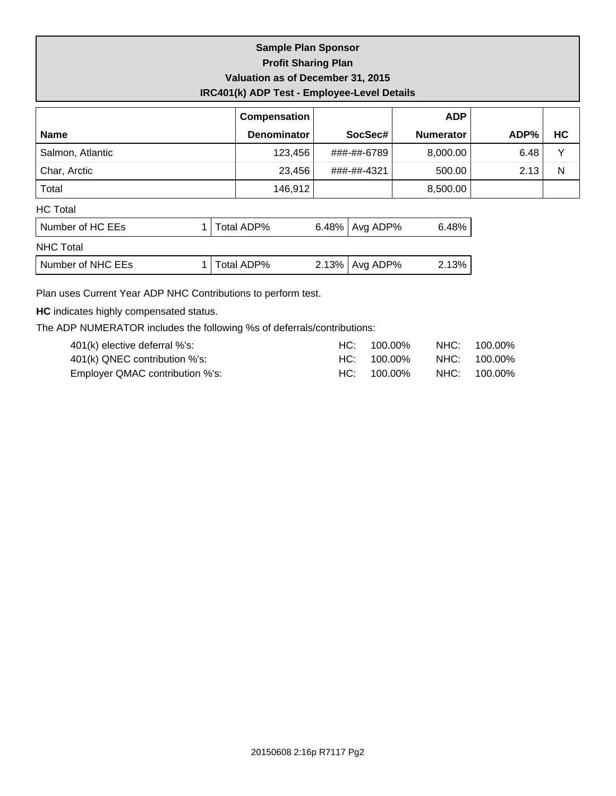## **Sample Plan Sponsor Profit Sharing Plan Valuation as of December 31, 2015 IRC401(k) ADP Test - Employee-Level Details**

|                  | Compensation       |             | <b>ADP</b>       |      |    |
|------------------|--------------------|-------------|------------------|------|----|
| <b>Name</b>      | <b>Denominator</b> | SocSec#     | <b>Numerator</b> | ADP% | HC |
| Salmon, Atlantic | 123,456            | ###-##-6789 | 8,000.00         | 6.48 |    |
| Char, Arctic     | 23,456             | ###-##-4321 | 500.00           | 2.13 | N  |
| Total            | 146,912            |             | 8,500.00         |      |    |
| <b>HC Total</b>  |                    |             |                  |      |    |
|                  |                    |             |                  |      |    |

| l Number of HC EEs l | 1   Total ADP% | 6.48%   Avg ADP% | 6.48% l  |
|----------------------|----------------|------------------|----------|
| NHC Total            |                |                  |          |
| Number of NHC EEs    | 1   Total ADP% | 2.13%   Avg ADP% | $2.13\%$ |

Plan uses Current Year ADP NHC Contributions to perform test.

**HC** indicates highly compensated status.

The ADP NUMERATOR includes the following %s of deferrals/contributions:

| $401(k)$ elective deferral %'s: | $HC: 100.00\%$ | NHC: 100.00% |
|---------------------------------|----------------|--------------|
| 401(k) QNEC contribution %'s:   | HC: 100.00%    | NHC: 100.00% |
| Employer QMAC contribution %'s: | $HC: 100.00\%$ | NHC: 100.00% |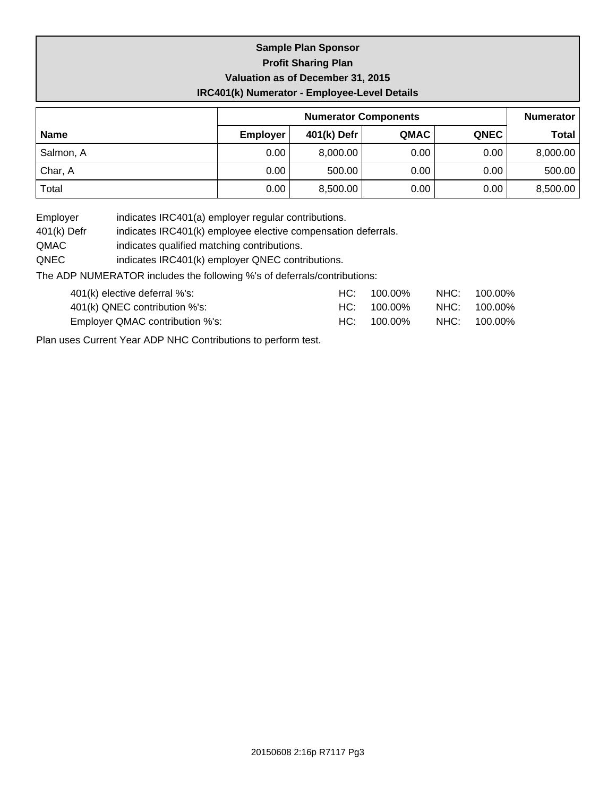## **Sample Plan Sponsor Profit Sharing Plan Valuation as of December 31, 2015 IRC401(k) Numerator - Employee-Level Details**

|             |                 | <b>Numerator</b> |      |             |              |
|-------------|-----------------|------------------|------|-------------|--------------|
| <b>Name</b> | <b>Employer</b> | 401(k) Defr      | QMAC | <b>QNEC</b> | <b>Total</b> |
| Salmon, A   | 0.00            | 8,000.00         | 0.00 | 0.00        | 8,000.00     |
| Char, A     | 0.00            | 500.00           | 0.00 | 0.00        | 500.00       |
| Total       | 0.00            | 8,500.00         | 0.00 | 0.00        | 8,500.00     |

Employer indicates IRC401(a) employer regular contributions.

401(k) Defr indicates IRC401(k) employee elective compensation deferrals.

QMAC indicates qualified matching contributions.

QNEC indicates IRC401(k) employer QNEC contributions.

The ADP NUMERATOR includes the following %'s of deferrals/contributions:

| 401(k) elective deferral %'s:   | $HC: 100.00\%$ | NHC: 100.00% |
|---------------------------------|----------------|--------------|
| 401(k) QNEC contribution %'s:   | $HC: 100.00\%$ | NHC: 100.00% |
| Employer QMAC contribution %'s: | $HC: 100.00\%$ | NHC: 100.00% |

Plan uses Current Year ADP NHC Contributions to perform test.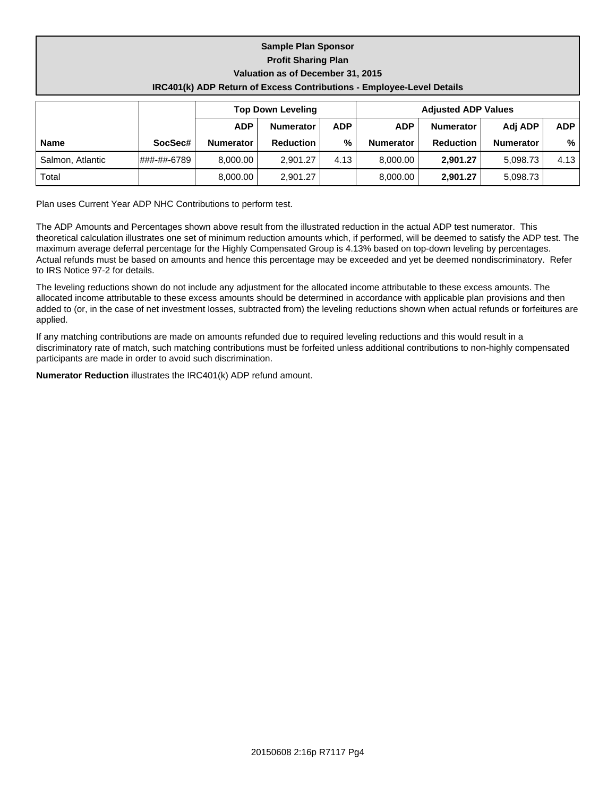| <b>Sample Plan Sponsor</b>        |                                                                              |                  |                  |            |            |                  |                  |            |  |  |  |
|-----------------------------------|------------------------------------------------------------------------------|------------------|------------------|------------|------------|------------------|------------------|------------|--|--|--|
| <b>Profit Sharing Plan</b>        |                                                                              |                  |                  |            |            |                  |                  |            |  |  |  |
| Valuation as of December 31, 2015 |                                                                              |                  |                  |            |            |                  |                  |            |  |  |  |
|                                   | <b>IRC401(k) ADP Return of Excess Contributions - Employee-Level Details</b> |                  |                  |            |            |                  |                  |            |  |  |  |
|                                   | <b>Top Down Leveling</b><br><b>Adjusted ADP Values</b>                       |                  |                  |            |            |                  |                  |            |  |  |  |
|                                   |                                                                              | <b>ADP</b>       | <b>Numerator</b> | <b>ADP</b> | <b>ADP</b> | <b>Numerator</b> | Adj ADP          | <b>ADP</b> |  |  |  |
| <b>Name</b>                       | SocSec#                                                                      | <b>Numerator</b> | <b>Reduction</b> | %          | Numerator  | <b>Reduction</b> | <b>Numerator</b> | %          |  |  |  |
| Salmon, Atlantic                  | l###-##-6789                                                                 | 8,000.00         | 2,901.27         | 4.13       | 8,000.00   | 2,901.27         | 5,098.73         | 4.13       |  |  |  |
| Total                             |                                                                              | 8.000.00         | 2.901.27         |            | 8,000.00   | 2.901.27         | 5.098.73         |            |  |  |  |

Plan uses Current Year ADP NHC Contributions to perform test.

The ADP Amounts and Percentages shown above result from the illustrated reduction in the actual ADP test numerator. This theoretical calculation illustrates one set of minimum reduction amounts which, if performed, will be deemed to satisfy the ADP test. The maximum average deferral percentage for the Highly Compensated Group is 4.13% based on top-down leveling by percentages. Actual refunds must be based on amounts and hence this percentage may be exceeded and yet be deemed nondiscriminatory. Refer to IRS Notice 97-2 for details.

The leveling reductions shown do not include any adjustment for the allocated income attributable to these excess amounts. The allocated income attributable to these excess amounts should be determined in accordance with applicable plan provisions and then added to (or, in the case of net investment losses, subtracted from) the leveling reductions shown when actual refunds or forfeitures are applied.

If any matching contributions are made on amounts refunded due to required leveling reductions and this would result in a discriminatory rate of match, such matching contributions must be forfeited unless additional contributions to non-highly compensated participants are made in order to avoid such discrimination.

**Numerator Reduction** illustrates the IRC401(k) ADP refund amount.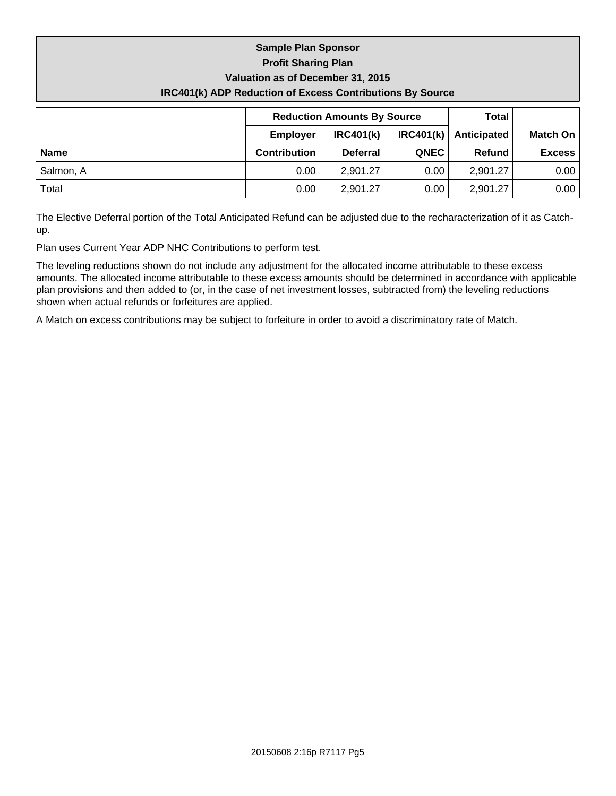# **Sample Plan Sponsor Profit Sharing Plan Valuation as of December 31, 2015 IRC401(k) ADP Reduction of Excess Contributions By Source**

|             |                     | <b>Reduction Amounts By Source</b> | Total       |               |                 |
|-------------|---------------------|------------------------------------|-------------|---------------|-----------------|
|             | <b>Employer</b>     | IRC401(k)                          | IRC401(k)   | Anticipated   | <b>Match On</b> |
| <b>Name</b> | <b>Contribution</b> | <b>Deferral</b>                    | <b>QNEC</b> | <b>Refund</b> | <b>Excess</b>   |
| Salmon, A   | 0.00                | 2,901.27                           | 0.00        | 2,901.27      | 0.00            |
| Total       | 0.00                | 2,901.27                           | 0.00        | 2,901.27      | 0.00            |

The Elective Deferral portion of the Total Anticipated Refund can be adjusted due to the recharacterization of it as Catchup.

Plan uses Current Year ADP NHC Contributions to perform test.

The leveling reductions shown do not include any adjustment for the allocated income attributable to these excess amounts. The allocated income attributable to these excess amounts should be determined in accordance with applicable plan provisions and then added to (or, in the case of net investment losses, subtracted from) the leveling reductions shown when actual refunds or forfeitures are applied.

A Match on excess contributions may be subject to forfeiture in order to avoid a discriminatory rate of Match.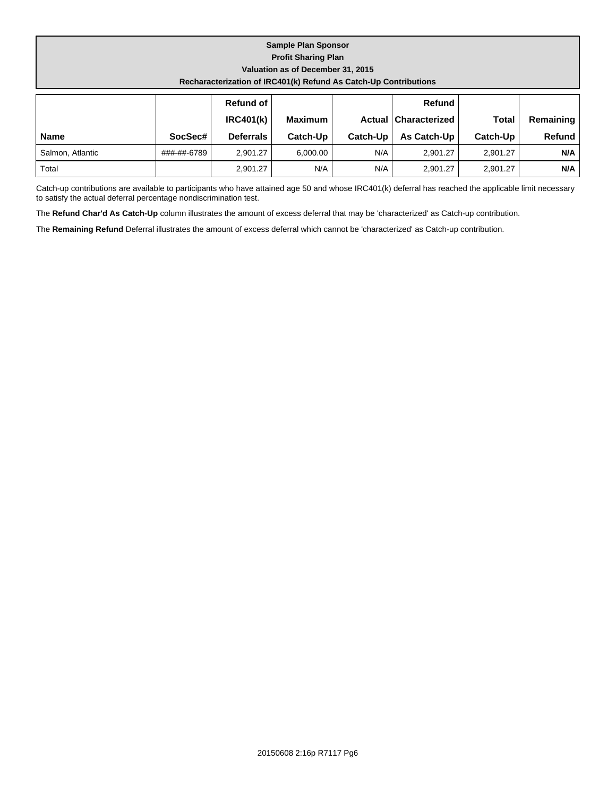| <b>Sample Plan Sponsor</b><br><b>Profit Sharing Plan</b><br>Valuation as of December 31, 2015<br>Recharacterization of IRC401(k) Refund As Catch-Up Contributions |             |                               |                |          |                                         |              |           |
|-------------------------------------------------------------------------------------------------------------------------------------------------------------------|-------------|-------------------------------|----------------|----------|-----------------------------------------|--------------|-----------|
|                                                                                                                                                                   |             | Refund of<br><b>IRC401(k)</b> | <b>Maximum</b> |          | <b>Refund</b><br>Actual   Characterized | <b>Total</b> | Remaining |
| <b>Name</b>                                                                                                                                                       | SocSec#     | <b>Deferrals</b>              | Catch-Up       | Catch-Up | As Catch-Up                             | Catch-Up     | Refund    |
| Salmon, Atlantic                                                                                                                                                  | ###-##-6789 | 2.901.27                      | 6,000.00       | N/A      | 2,901.27                                | 2,901.27     | N/A       |

Catch-up contributions are available to participants who have attained age 50 and whose IRC401(k) deferral has reached the applicable limit necessary to satisfy the actual deferral percentage nondiscrimination test.

Total 2,901.27 N/A N/A 2,901.27 2,901.27 **N/A**

The **Refund Char'd As Catch-Up** column illustrates the amount of excess deferral that may be 'characterized' as Catch-up contribution.

The **Remaining Refund** Deferral illustrates the amount of excess deferral which cannot be 'characterized' as Catch-up contribution.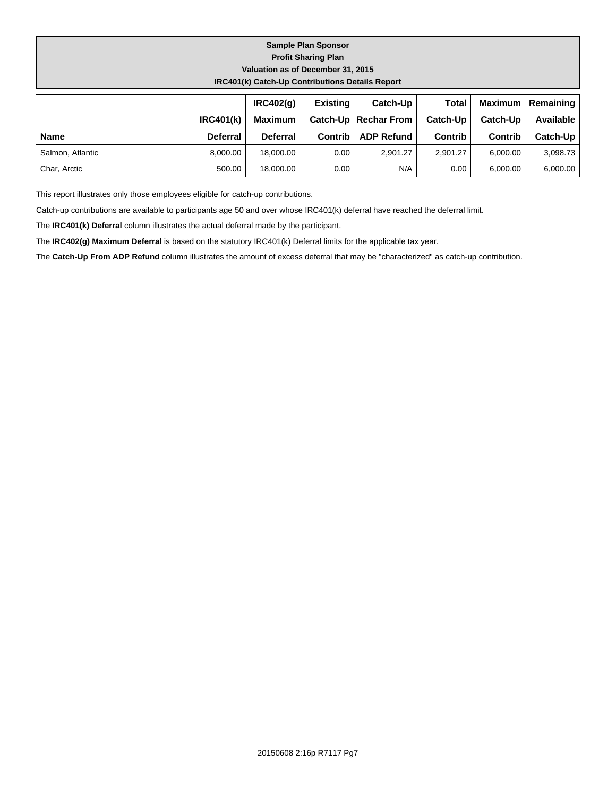#### **Sample Plan Sponsor Profit Sharing Plan Valuation as of December 31, 2015 IRC401(k) Catch-Up Contributions Details Report**

|                  |                 | IRC402(a)       | <b>Existing</b> | Catch-Up               | <b>Total</b> |                | Maximum   Remaining |
|------------------|-----------------|-----------------|-----------------|------------------------|--------------|----------------|---------------------|
|                  | IRC401(k)       | <b>Maximum</b>  |                 | Catch-Up   Rechar From | Catch-Up     | Catch-Up       | Available I         |
| <b>Name</b>      | <b>Deferral</b> | <b>Deferral</b> | Contrib         | <b>ADP Refund</b>      | Contrib      | <b>Contrib</b> | Catch-Up            |
| Salmon, Atlantic | 8.000.00        | 18,000,00       | 0.00            | 2,901.27               | 2.901.27     | 6.000.00       | 3,098.73            |
| Char, Arctic     | 500.00          | 18.000.00       | 0.00            | N/A                    | 0.00         | 6,000.00       | 6,000.00            |

This report illustrates only those employees eligible for catch-up contributions.

Catch-up contributions are available to participants age 50 and over whose IRC401(k) deferral have reached the deferral limit.

The **IRC401(k) Deferral** column illustrates the actual deferral made by the participant.

The **IRC402(g) Maximum Deferral** is based on the statutory IRC401(k) Deferral limits for the applicable tax year.

The **Catch-Up From ADP Refund** column illustrates the amount of excess deferral that may be "characterized" as catch-up contribution.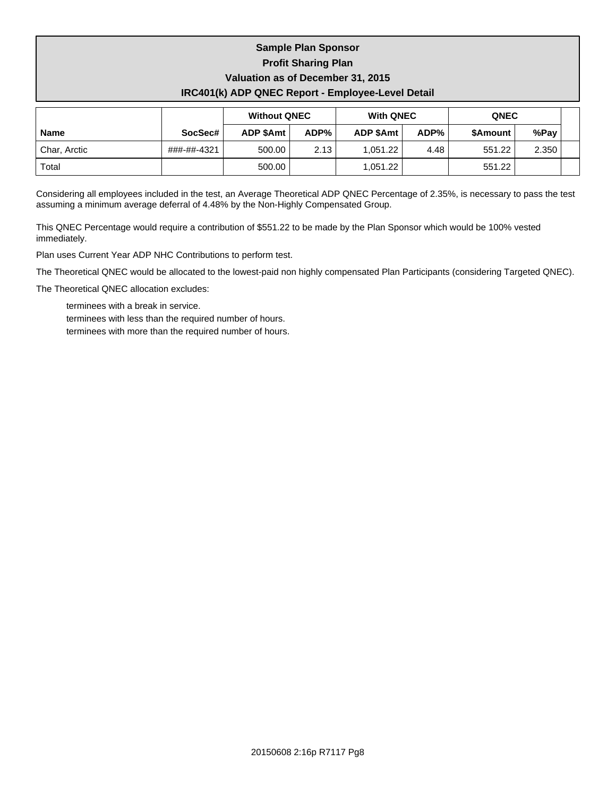# **Sample Plan Sponsor Profit Sharing Plan Valuation as of December 31, 2015 IRC401(k) ADP QNEC Report - Employee-Level Detail**

|              |             | <b>Without QNEC</b> |      | <b>With QNEC</b> |      | <b>QNEC</b> |       |  |
|--------------|-------------|---------------------|------|------------------|------|-------------|-------|--|
| <b>Name</b>  | SocSec#     | <b>ADP \$Amt</b>    | ADP% | <b>ADP \$Amt</b> | ADP% | \$Amount    | %Pay  |  |
| Char, Arctic | ###-##-4321 | 500.00              | 2.13 | 1.051.22         | 4.48 | 551.22      | 2.350 |  |
| Total        |             | 500.00              |      | 1.051.22         |      | 551.22      |       |  |

Considering all employees included in the test, an Average Theoretical ADP QNEC Percentage of 2.35%, is necessary to pass the test assuming a minimum average deferral of 4.48% by the Non-Highly Compensated Group.

This QNEC Percentage would require a contribution of \$551.22 to be made by the Plan Sponsor which would be 100% vested immediately.

Plan uses Current Year ADP NHC Contributions to perform test.

The Theoretical QNEC would be allocated to the lowest-paid non highly compensated Plan Participants (considering Targeted QNEC).

The Theoretical QNEC allocation excludes:

- terminees with a break in service.
- terminees with less than the required number of hours.
- terminees with more than the required number of hours.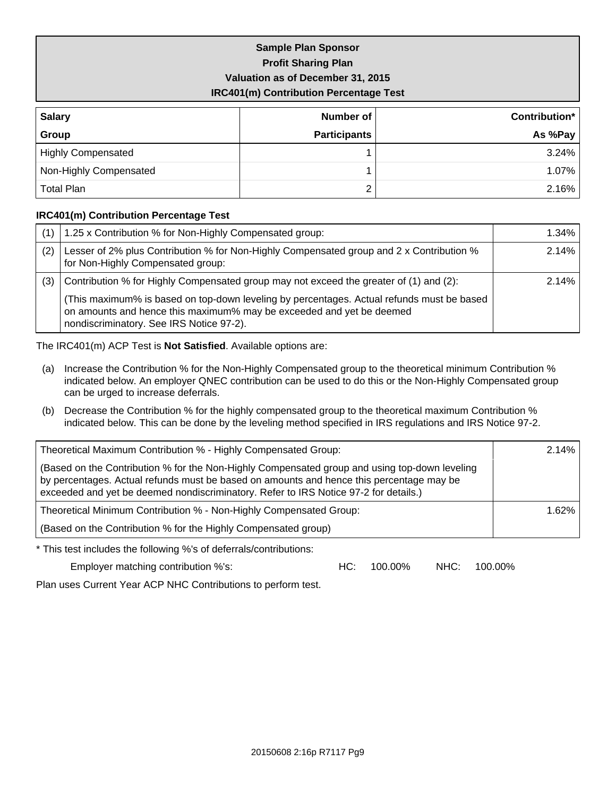# **Sample Plan Sponsor Profit Sharing Plan Valuation as of December 31, 2015 IRC401(m) Contribution Percentage Test**

| <b>Salary</b>             | Number of           | Contribution* |
|---------------------------|---------------------|---------------|
| Group                     | <b>Participants</b> | As %Pay       |
| <b>Highly Compensated</b> |                     | $3.24\%$      |
| Non-Highly Compensated    |                     | $1.07\%$      |
| <b>Total Plan</b>         |                     | 2.16%         |

#### **IRC401(m) Contribution Percentage Test**

|     | 1.25 x Contribution % for Non-Highly Compensated group:                                                                                                                                                       | 1.34% |
|-----|---------------------------------------------------------------------------------------------------------------------------------------------------------------------------------------------------------------|-------|
| (2) | Lesser of 2% plus Contribution % for Non-Highly Compensated group and 2 x Contribution %<br>for Non-Highly Compensated group:                                                                                 | 2.14% |
| (3) | Contribution % for Highly Compensated group may not exceed the greater of (1) and (2):                                                                                                                        | 2.14% |
|     | (This maximum% is based on top-down leveling by percentages. Actual refunds must be based<br>on amounts and hence this maximum% may be exceeded and yet be deemed<br>nondiscriminatory. See IRS Notice 97-2). |       |

The IRC401(m) ACP Test is **Not Satisfied**. Available options are:

- (a) Increase the Contribution % for the Non-Highly Compensated group to the theoretical minimum Contribution % indicated below. An employer QNEC contribution can be used to do this or the Non-Highly Compensated group can be urged to increase deferrals.
- (b) Decrease the Contribution % for the highly compensated group to the theoretical maximum Contribution % indicated below. This can be done by the leveling method specified in IRS regulations and IRS Notice 97-2.

| Theoretical Maximum Contribution % - Highly Compensated Group:                                                                                                                                                                                                                    |     |         |      |         | 2.14% |
|-----------------------------------------------------------------------------------------------------------------------------------------------------------------------------------------------------------------------------------------------------------------------------------|-----|---------|------|---------|-------|
| (Based on the Contribution % for the Non-Highly Compensated group and using top-down leveling<br>by percentages. Actual refunds must be based on amounts and hence this percentage may be<br>exceeded and yet be deemed nondiscriminatory. Refer to IRS Notice 97-2 for details.) |     |         |      |         |       |
| Theoretical Minimum Contribution % - Non-Highly Compensated Group:                                                                                                                                                                                                                |     | 1.62%   |      |         |       |
| (Based on the Contribution % for the Highly Compensated group)                                                                                                                                                                                                                    |     |         |      |         |       |
| * This test includes the following %'s of deferrals/contributions:                                                                                                                                                                                                                |     |         |      |         |       |
| Employer matching contribution %'s:                                                                                                                                                                                                                                               | HC: | 100.00% | NHC: | 100.00% |       |

Plan uses Current Year ACP NHC Contributions to perform test.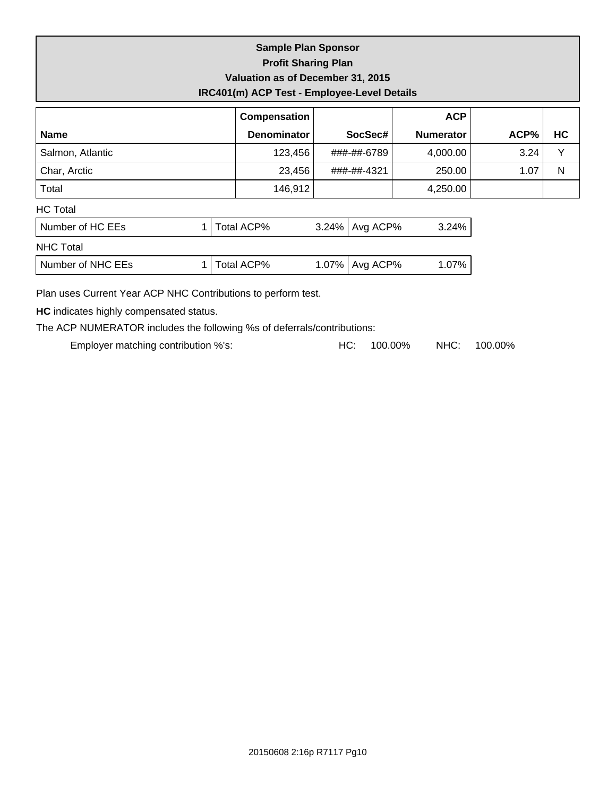| <b>Sample Plan Sponsor</b>                  |
|---------------------------------------------|
| <b>Profit Sharing Plan</b>                  |
| Valuation as of December 31, 2015           |
| IRC401(m) ACP Test - Employee-Level Details |

|                  | Compensation       |                  | <b>ACP</b>       |      |              |
|------------------|--------------------|------------------|------------------|------|--------------|
| <b>Name</b>      | <b>Denominator</b> | SocSec#          | <b>Numerator</b> | ACP% | HC           |
| Salmon, Atlantic | 123,456            | ###-##-6789      | 4,000.00         | 3.24 | $\checkmark$ |
| Char, Arctic     | 23,456             | ###-##-4321      | 250.00           | 1.07 | N            |
| Total            | 146,912            |                  | 4,250.00         |      |              |
| <b>HC</b> Total  |                    |                  |                  |      |              |
| Number of HC EEs | Total ACP%         | 3.24%   Avg ACP% | 3.24%            |      |              |
| <b>NHC Total</b> |                    |                  |                  |      |              |
|                  |                    |                  |                  |      |              |

| Number of NHC EEs | otal ACP% | Avg ACP%<br>1.07% | ገ7% |
|-------------------|-----------|-------------------|-----|
|-------------------|-----------|-------------------|-----|

Plan uses Current Year ACP NHC Contributions to perform test.

**HC** indicates highly compensated status.

The ACP NUMERATOR includes the following %s of deferrals/contributions:

Employer matching contribution %'s: <br>
HC: 100.00% NHC: 100.00%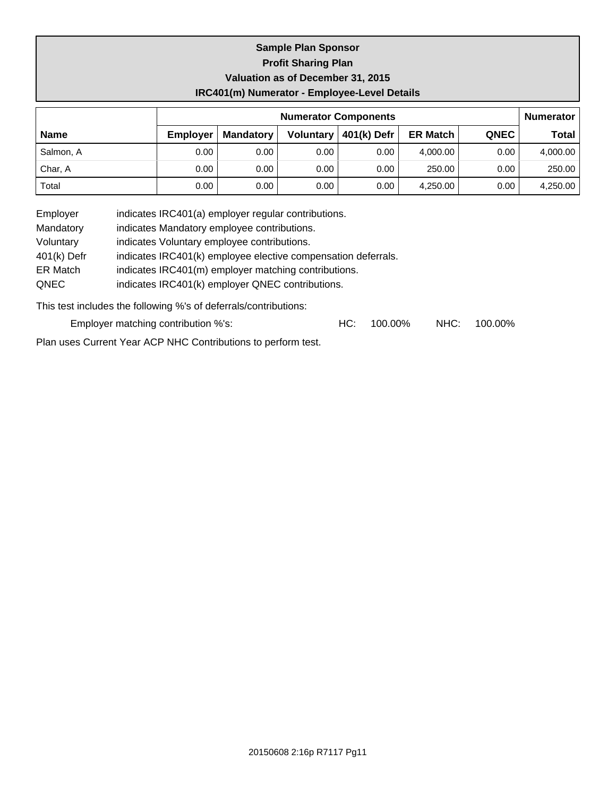## **Sample Plan Sponsor Profit Sharing Plan Valuation as of December 31, 2015 IRC401(m) Numerator - Employee-Level Details**

|             | <b>Numerator Components</b> |                  |                  |             |                 |             |          |  |
|-------------|-----------------------------|------------------|------------------|-------------|-----------------|-------------|----------|--|
| <b>Name</b> | <b>Employer</b>             | <b>Mandatory</b> | <b>Voluntary</b> | 401(k) Defr | <b>ER Match</b> | <b>QNEC</b> | Total    |  |
| Salmon, A   | 0.00                        | 0.00             | 0.00             | 0.00        | 4.000.00        | 0.00        | 4,000.00 |  |
| Char, A     | 0.00                        | 0.00             | 0.00             | 0.00        | 250.00          | 0.00        | 250.00   |  |
| Total       | 0.00                        | 0.00             | 0.00             | 0.00        | 4.250.00        | 0.00        | 4,250.00 |  |

Employer indicates IRC401(a) employer regular contributions.

Mandatory indicates Mandatory employee contributions.

Voluntary indicates Voluntary employee contributions.

401(k) Defr indicates IRC401(k) employee elective compensation deferrals.

ER Match indicates IRC401(m) employer matching contributions.

QNEC indicates IRC401(k) employer QNEC contributions.

This test includes the following %'s of deferrals/contributions:

| Employer matching contribution %'s: |  | $HC: 100.00\%$ |  | NHC: 100.00% |
|-------------------------------------|--|----------------|--|--------------|
|-------------------------------------|--|----------------|--|--------------|

Plan uses Current Year ACP NHC Contributions to perform test.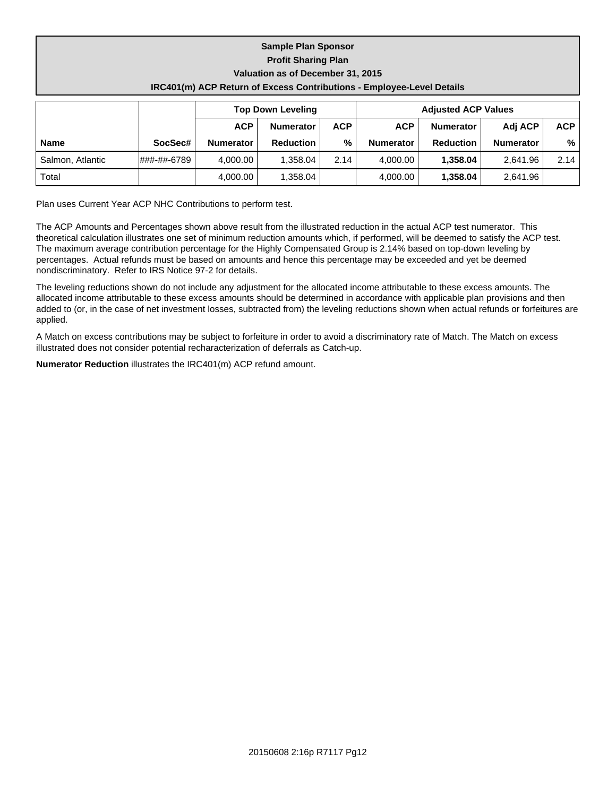|                            |                                                                              | <b>Sample Plan Sponsor</b> |                            |  |  |  |  |
|----------------------------|------------------------------------------------------------------------------|----------------------------|----------------------------|--|--|--|--|
| <b>Profit Sharing Plan</b> |                                                                              |                            |                            |  |  |  |  |
|                            | Valuation as of December 31, 2015                                            |                            |                            |  |  |  |  |
|                            | <b>IRC401(m) ACP Return of Excess Contributions - Employee-Level Details</b> |                            |                            |  |  |  |  |
|                            |                                                                              |                            |                            |  |  |  |  |
|                            |                                                                              | <b>Top Down Leveling</b>   | <b>Adjusted ACP Values</b> |  |  |  |  |

|                  |             |                  | <b>Top Down Leveling</b> |            | <b>Adjusted ACP Values</b> |                  |           |            |  |
|------------------|-------------|------------------|--------------------------|------------|----------------------------|------------------|-----------|------------|--|
|                  |             | <b>ACP</b>       | <b>Numerator</b>         | <b>ACP</b> | <b>ACP</b>                 | <b>Numerator</b> | Adj ACP   | <b>ACP</b> |  |
| <b>Name</b>      | SocSec#     | <b>Numerator</b> | <b>Reduction</b>         | %          | <b>Numerator</b>           | <b>Reduction</b> | Numerator | % ,        |  |
| Salmon, Atlantic | ###-##-6789 | 4.000.00         | 1.358.04                 | 2.14       | 4.000.00                   | 1.358.04         | 2.641.96  | 2.14       |  |
| Total            |             | 4,000.00         | 1,358.04                 |            | 4,000.00                   | 1.358.04         | 2,641.96  |            |  |

Plan uses Current Year ACP NHC Contributions to perform test.

The ACP Amounts and Percentages shown above result from the illustrated reduction in the actual ACP test numerator. This theoretical calculation illustrates one set of minimum reduction amounts which, if performed, will be deemed to satisfy the ACP test. The maximum average contribution percentage for the Highly Compensated Group is 2.14% based on top-down leveling by percentages. Actual refunds must be based on amounts and hence this percentage may be exceeded and yet be deemed nondiscriminatory. Refer to IRS Notice 97-2 for details.

The leveling reductions shown do not include any adjustment for the allocated income attributable to these excess amounts. The allocated income attributable to these excess amounts should be determined in accordance with applicable plan provisions and then added to (or, in the case of net investment losses, subtracted from) the leveling reductions shown when actual refunds or forfeitures are applied.

A Match on excess contributions may be subject to forfeiture in order to avoid a discriminatory rate of Match. The Match on excess illustrated does not consider potential recharacterization of deferrals as Catch-up.

**Numerator Reduction** illustrates the IRC401(m) ACP refund amount.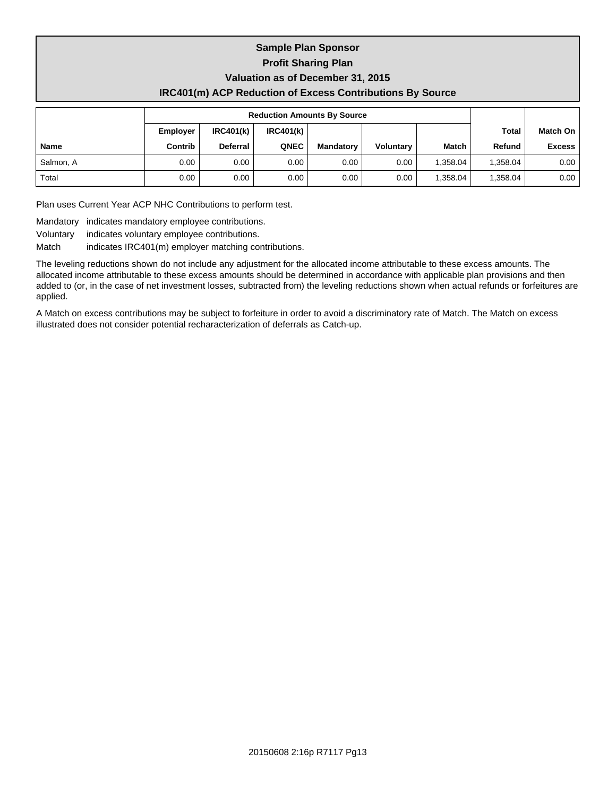#### **Sample Plan Sponsor Profit Sharing Plan Valuation as of December 31, 2015 IRC401(m) ACP Reduction of Excess Contributions By Source**

|             |                 | <b>Reduction Amounts By Source</b> |           |                   |                  |              |          |                 |
|-------------|-----------------|------------------------------------|-----------|-------------------|------------------|--------------|----------|-----------------|
|             | <b>Employer</b> | IRC401(k)                          | IRC401(k) |                   |                  |              | Total    | <b>Match On</b> |
| <b>Name</b> | Contrib         | Deferral                           | QNEC      | <b>Mandatory</b>  | <b>Voluntary</b> | <b>Match</b> | Refund   | <b>Excess</b>   |
| Salmon, A   | 0.00            | 0.00                               | 0.00      | 0.00 <sub>1</sub> | 0.00             | 1.358.04     | 1.358.04 | 0.00            |
| Total       | 0.00            | 0.00                               | 0.00      | 0.00              | 0.00             | .358.04      | 1.358.04 | 0.00            |

Plan uses Current Year ACP NHC Contributions to perform test.

Mandatory indicates mandatory employee contributions.

Voluntary indicates voluntary employee contributions.

Match indicates IRC401(m) employer matching contributions.

The leveling reductions shown do not include any adjustment for the allocated income attributable to these excess amounts. The allocated income attributable to these excess amounts should be determined in accordance with applicable plan provisions and then added to (or, in the case of net investment losses, subtracted from) the leveling reductions shown when actual refunds or forfeitures are applied.

A Match on excess contributions may be subject to forfeiture in order to avoid a discriminatory rate of Match. The Match on excess illustrated does not consider potential recharacterization of deferrals as Catch-up.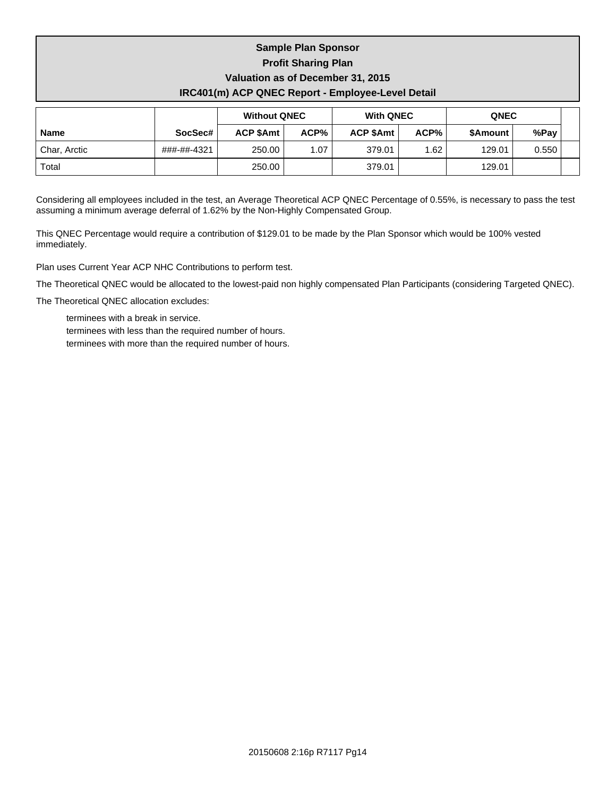# **Sample Plan Sponsor Profit Sharing Plan Valuation as of December 31, 2015 IRC401(m) ACP QNEC Report - Employee-Level Detail**

|              |             | <b>Without QNEC</b> |      | <b>With QNEC</b> |      | <b>QNEC</b> |       |  |
|--------------|-------------|---------------------|------|------------------|------|-------------|-------|--|
| <b>Name</b>  | SocSec#     | <b>ACP \$Amt</b>    | ACP% | ACP \$Amt        | ACP% | \$Amount    | %Pay  |  |
| Char, Arctic | ###-##-4321 | 250.00              | 1.07 | 379.01           | 1.62 | 129.01      | 0.550 |  |
| Total        |             | 250.00              |      | 379.01           |      | 129.01      |       |  |

Considering all employees included in the test, an Average Theoretical ACP QNEC Percentage of 0.55%, is necessary to pass the test assuming a minimum average deferral of 1.62% by the Non-Highly Compensated Group.

This QNEC Percentage would require a contribution of \$129.01 to be made by the Plan Sponsor which would be 100% vested immediately.

Plan uses Current Year ACP NHC Contributions to perform test.

The Theoretical QNEC would be allocated to the lowest-paid non highly compensated Plan Participants (considering Targeted QNEC).

The Theoretical QNEC allocation excludes:

terminees with a break in service. terminees with less than the required number of hours. terminees with more than the required number of hours.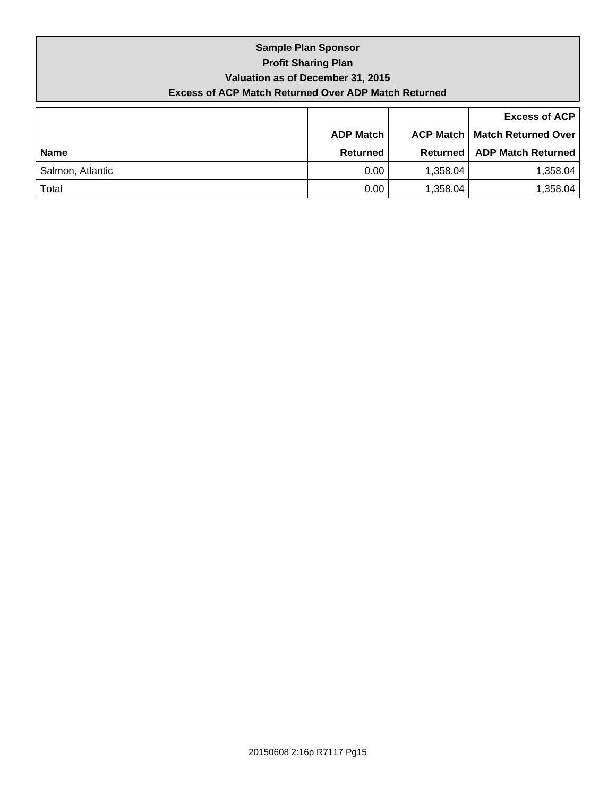# **Sample Plan Sponsor Profit Sharing Plan Valuation as of December 31, 2015 Excess of ACP Match Returned Over ADP Match Returned**

|                  |                  |          | <b>Excess of ACP</b>                   |  |  |
|------------------|------------------|----------|----------------------------------------|--|--|
|                  | <b>ADP Match</b> |          | <b>ACP Match   Match Returned Over</b> |  |  |
| <b>Name</b>      | Returned         | Returned | <b>ADP Match Returned</b>              |  |  |
| Salmon, Atlantic | 0.00             | 1,358.04 | 1,358.04                               |  |  |
| Total            | 0.00             | 1,358.04 | 1,358.04                               |  |  |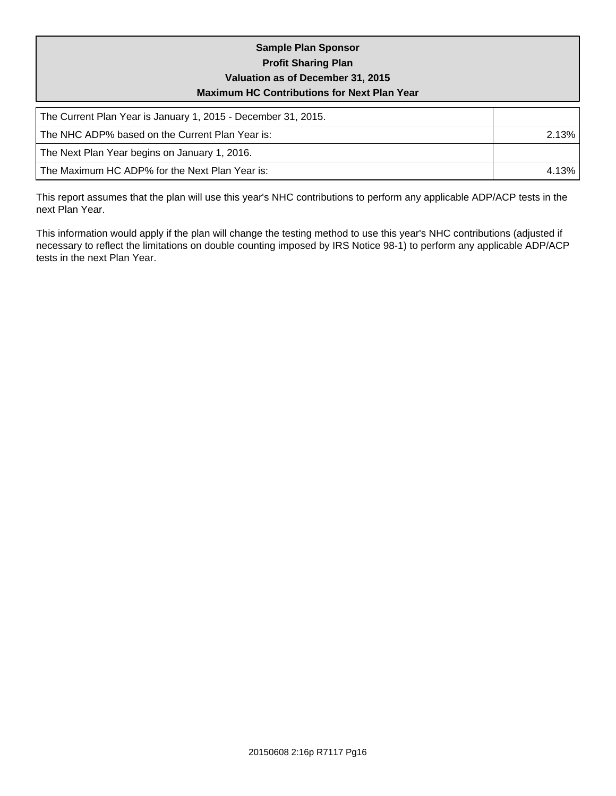## **Sample Plan Sponsor Profit Sharing Plan Valuation as of December 31, 2015 Maximum HC Contributions for Next Plan Year**

| The Current Plan Year is January 1, 2015 - December 31, 2015. |       |
|---------------------------------------------------------------|-------|
| l The NHC ADP% based on the Current Plan Year is:             | 2.13% |
| The Next Plan Year begins on January 1, 2016.                 |       |
| The Maximum HC ADP% for the Next Plan Year is:                | 4.13% |

This report assumes that the plan will use this year's NHC contributions to perform any applicable ADP/ACP tests in the next Plan Year.

This information would apply if the plan will change the testing method to use this year's NHC contributions (adjusted if necessary to reflect the limitations on double counting imposed by IRS Notice 98-1) to perform any applicable ADP/ACP tests in the next Plan Year.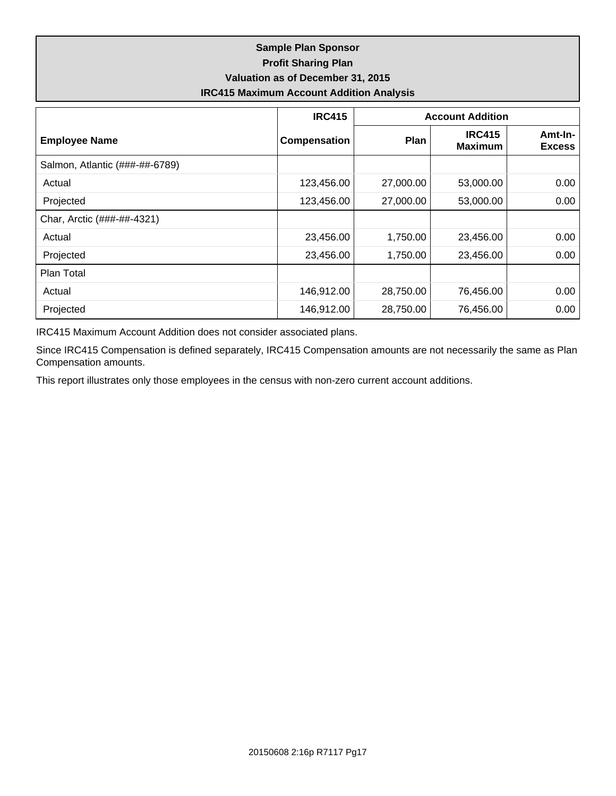## **Sample Plan Sponsor Profit Sharing Plan Valuation as of December 31, 2015 IRC415 Maximum Account Addition Analysis**

|                                | <b>IRC415</b> | <b>Account Addition</b> |                                 |                          |  |  |
|--------------------------------|---------------|-------------------------|---------------------------------|--------------------------|--|--|
| <b>Employee Name</b>           | Compensation  | Plan                    | <b>IRC415</b><br><b>Maximum</b> | Amt-In-<br><b>Excess</b> |  |  |
| Salmon, Atlantic (###-##-6789) |               |                         |                                 |                          |  |  |
| Actual                         | 123,456.00    | 27,000.00               | 53,000.00                       | 0.00                     |  |  |
| Projected                      | 123,456.00    | 27,000.00               | 53,000.00                       | 0.00                     |  |  |
| Char, Arctic (###-##-4321)     |               |                         |                                 |                          |  |  |
| Actual                         | 23,456.00     | 1,750.00                | 23,456.00                       | 0.00                     |  |  |
| Projected                      | 23,456.00     | 1,750.00                | 23,456.00                       | 0.00                     |  |  |
| Plan Total                     |               |                         |                                 |                          |  |  |
| Actual                         | 146,912.00    | 28,750.00               | 76,456.00                       | 0.00                     |  |  |
| Projected                      | 146,912.00    | 28,750.00               | 76,456.00                       | 0.00                     |  |  |

IRC415 Maximum Account Addition does not consider associated plans.

Since IRC415 Compensation is defined separately, IRC415 Compensation amounts are not necessarily the same as Plan Compensation amounts.

This report illustrates only those employees in the census with non-zero current account additions.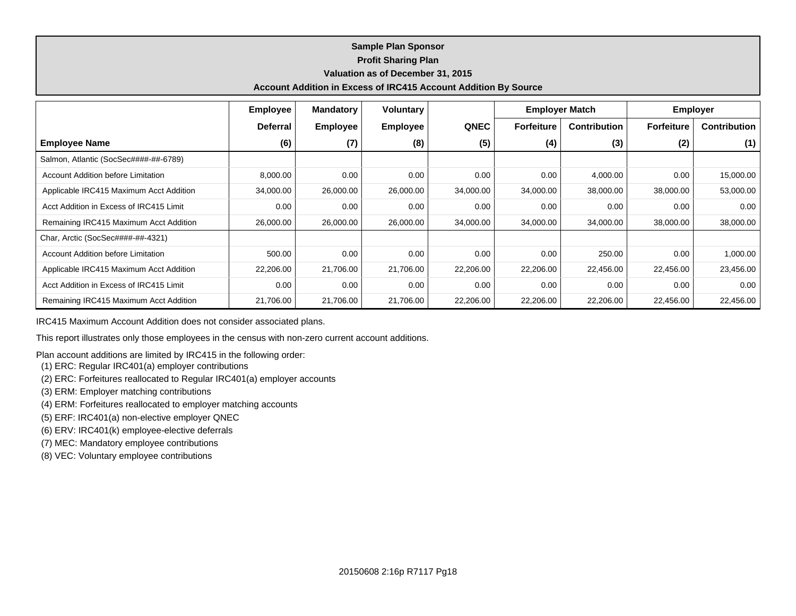#### **Sample Plan Sponsor Profit Sharing Plan Valuation as of December 31, 2015 Account Addition in Excess of IRC415 Account Addition By Source**

|                                           | <b>Employee</b> | <b>Mandatory</b> | <b>Voluntary</b> |             | <b>Employer Match</b> |                     | <b>Employer</b>   |                     |
|-------------------------------------------|-----------------|------------------|------------------|-------------|-----------------------|---------------------|-------------------|---------------------|
|                                           | <b>Deferral</b> | <b>Employee</b>  | <b>Employee</b>  | <b>QNEC</b> | <b>Forfeiture</b>     | <b>Contribution</b> | <b>Forfeiture</b> | <b>Contribution</b> |
| <b>Employee Name</b>                      | (6)             | (7)              | (8)              | (5)         | (4)                   | (3)                 | (2)               | (1)                 |
| Salmon, Atlantic (SocSec####-##-6789)     |                 |                  |                  |             |                       |                     |                   |                     |
| <b>Account Addition before Limitation</b> | 8,000.00        | 0.00             | 0.00             | 0.00        | 0.00                  | 4,000.00            | 0.00              | 15,000.00           |
| Applicable IRC415 Maximum Acct Addition   | 34,000.00       | 26,000.00        | 26,000.00        | 34,000.00   | 34,000.00             | 38,000.00           | 38,000.00         | 53,000.00           |
| Acct Addition in Excess of IRC415 Limit   | 0.00            | 0.00             | 0.00             | 0.00        | 0.00                  | 0.00                | 0.00              | 0.00                |
| Remaining IRC415 Maximum Acct Addition    | 26,000.00       | 26,000.00        | 26,000.00        | 34,000.00   | 34,000.00             | 34,000.00           | 38,000.00         | 38,000.00           |
| Char, Arctic (SocSec####-##-4321)         |                 |                  |                  |             |                       |                     |                   |                     |
| <b>Account Addition before Limitation</b> | 500.00          | 0.00             | 0.00             | 0.00        | 0.00                  | 250.00              | 0.00              | 1,000.00            |
| Applicable IRC415 Maximum Acct Addition   | 22,206.00       | 21,706.00        | 21,706.00        | 22,206.00   | 22,206.00             | 22,456.00           | 22,456.00         | 23,456.00           |
| Acct Addition in Excess of IRC415 Limit   | 0.00            | 0.00             | 0.00             | 0.00        | 0.00                  | 0.00                | 0.00              | 0.00                |
| Remaining IRC415 Maximum Acct Addition    | 21,706.00       | 21,706.00        | 21,706.00        | 22,206.00   | 22,206.00             | 22,206.00           | 22,456.00         | 22,456.00           |

IRC415 Maximum Account Addition does not consider associated plans.

This report illustrates only those employees in the census with non-zero current account additions.

Plan account additions are limited by IRC415 in the following order:

- (1) ERC: Regular IRC401(a) employer contributions
- (2) ERC: Forfeitures reallocated to Regular IRC401(a) employer accounts
- (3) ERM: Employer matching contributions
- (4) ERM: Forfeitures reallocated to employer matching accounts
- (5) ERF: IRC401(a) non-elective employer QNEC
- (6) ERV: IRC401(k) employee-elective deferrals
- (7) MEC: Mandatory employee contributions
- (8) VEC: Voluntary employee contributions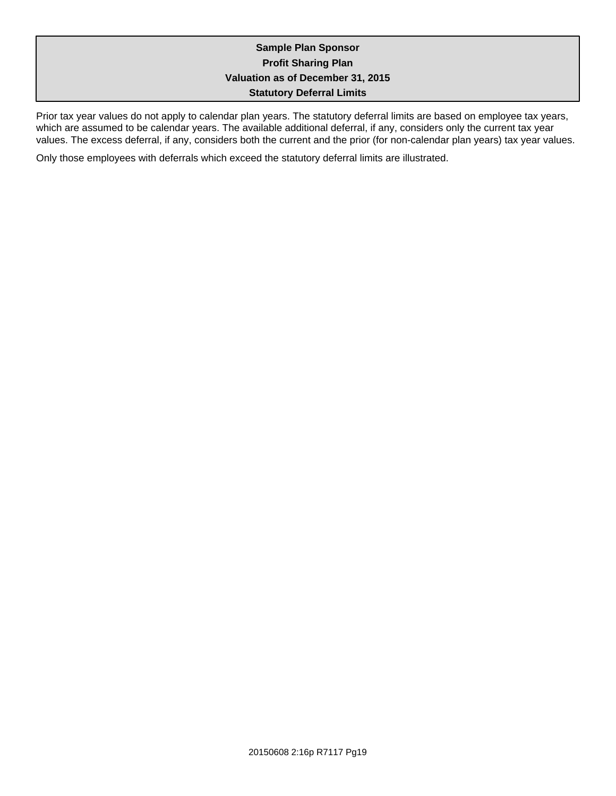## **Sample Plan Sponsor Profit Sharing Plan Valuation as of December 31, 2015 Statutory Deferral Limits**

Prior tax year values do not apply to calendar plan years. The statutory deferral limits are based on employee tax years, which are assumed to be calendar years. The available additional deferral, if any, considers only the current tax year values. The excess deferral, if any, considers both the current and the prior (for non-calendar plan years) tax year values.

Only those employees with deferrals which exceed the statutory deferral limits are illustrated.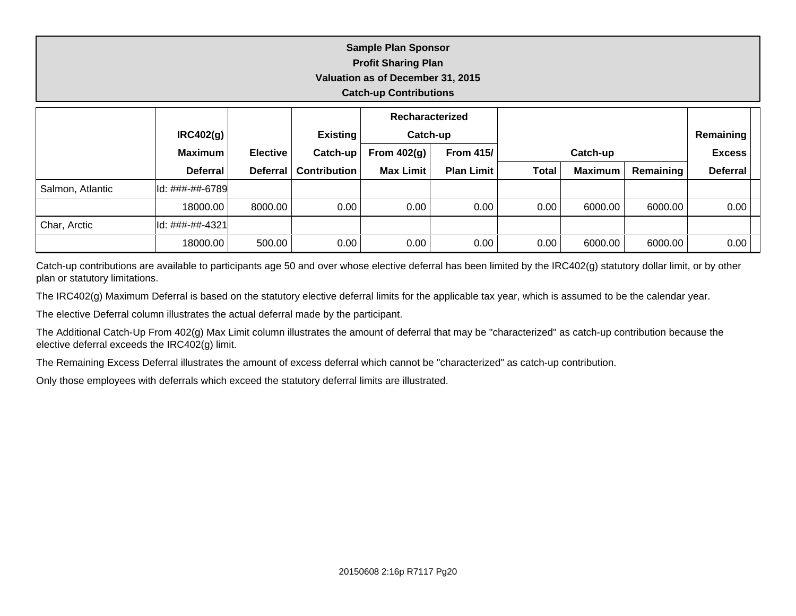|                               | <b>Sample Plan Sponsor</b><br><b>Profit Sharing Plan</b> |  |  |                 |  |  |  |  |  |  |
|-------------------------------|----------------------------------------------------------|--|--|-----------------|--|--|--|--|--|--|
|                               | Valuation as of December 31, 2015                        |  |  |                 |  |  |  |  |  |  |
| <b>Catch-up Contributions</b> |                                                          |  |  |                 |  |  |  |  |  |  |
|                               |                                                          |  |  | Recharacterized |  |  |  |  |  |  |

|                  | IRC402(g)         |                 | <b>Existing</b>     | Catch-up         |                   |              |                |               | Remaining       |  |
|------------------|-------------------|-----------------|---------------------|------------------|-------------------|--------------|----------------|---------------|-----------------|--|
|                  | <b>Maximum</b>    | <b>Elective</b> | Catch-up            | From $402(q)$    | <b>From 415/1</b> | Catch-up     |                | <b>Excess</b> |                 |  |
|                  | <b>Deferral</b>   | <b>Deferral</b> | <b>Contribution</b> | <b>Max Limit</b> | <b>Plan Limit</b> | <b>Total</b> | <b>Maximum</b> | Remaining     | <b>Deferral</b> |  |
| Salmon, Atlantic | ld: ###-##-6789   |                 |                     |                  |                   |              |                |               |                 |  |
|                  | 18000.00          | 8000.00         | 0.00                | 0.00             | 0.00              | 0.00         | 6000.00        | 6000.00       | 0.00            |  |
| Char, Arctic     | lld: ###-##-4321l |                 |                     |                  |                   |              |                |               |                 |  |
|                  | 18000.00          | 500.00          | 0.00                | 0.00             | 0.00              | 0.00         | 6000.00        | 6000.00       | 0.00            |  |

Catch-up contributions are available to participants age 50 and over whose elective deferral has been limited by the IRC402(g) statutory dollar limit, or by other plan or statutory limitations.

The IRC402(g) Maximum Deferral is based on the statutory elective deferral limits for the applicable tax year, which is assumed to be the calendar year.

The elective Deferral column illustrates the actual deferral made by the participant.

The Additional Catch-Up From 402(g) Max Limit column illustrates the amount of deferral that may be "characterized" as catch-up contribution because the elective deferral exceeds the IRC402(g) limit.

The Remaining Excess Deferral illustrates the amount of excess deferral which cannot be "characterized" as catch-up contribution.

Only those employees with deferrals which exceed the statutory deferral limits are illustrated.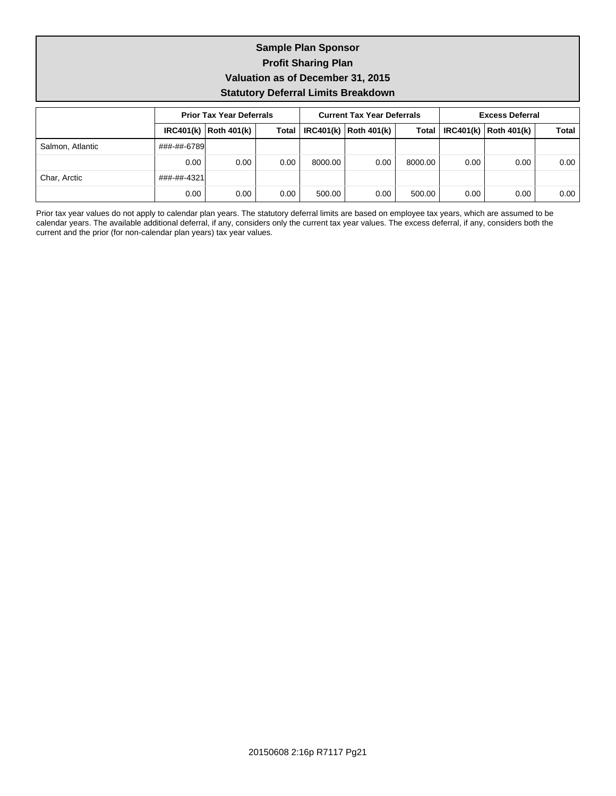## **Sample Plan Sponsor Profit Sharing Plan Valuation as of December 31, 2015 Statutory Deferral Limits Breakdown**

|                  |             | <b>Prior Tax Year Deferrals</b> |              |         | <b>Current Tax Year Deferrals</b> |         | <b>Excess Deferral</b> |                                 |       |
|------------------|-------------|---------------------------------|--------------|---------|-----------------------------------|---------|------------------------|---------------------------------|-------|
|                  |             | $IRC401(k)$ Roth 401(k)         | <b>Total</b> |         | $IRC401(k)$ Roth 401(k)           |         |                        | Total   IRC401(k)   Roth 401(k) | Total |
| Salmon, Atlantic | ###-##-6789 |                                 |              |         |                                   |         |                        |                                 |       |
|                  | 0.00        | 0.00                            | 0.00         | 8000.00 | 0.00                              | 8000.00 | 0.00                   | 0.00                            | 0.00  |
| Char, Arctic     | ###-##-4321 |                                 |              |         |                                   |         |                        |                                 |       |
|                  | 0.00        | 0.00                            | 0.00         | 500.00  | 0.00                              | 500.00  | 0.00                   | 0.00                            | 0.00  |

Prior tax year values do not apply to calendar plan years. The statutory deferral limits are based on employee tax years, which are assumed to be calendar years. The available additional deferral, if any, considers only the current tax year values. The excess deferral, if any, considers both the current and the prior (for non-calendar plan years) tax year values.